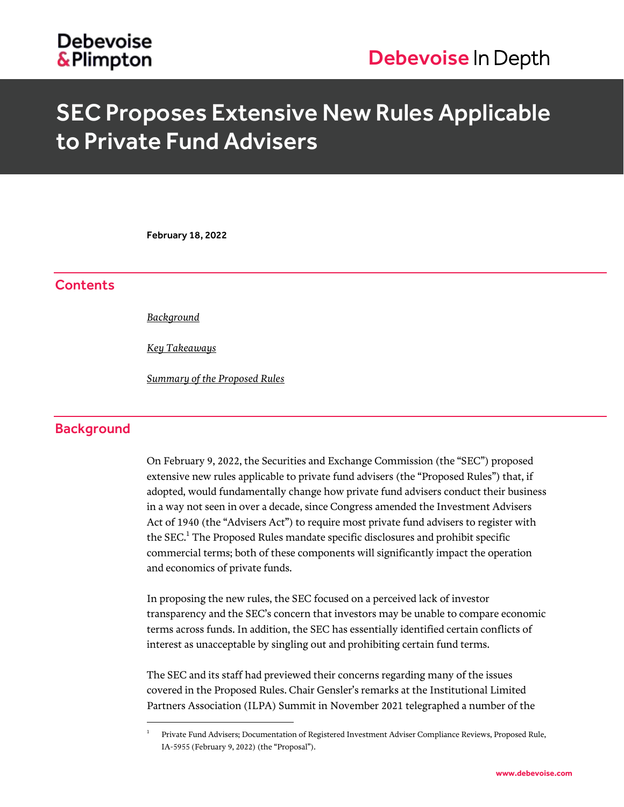# SEC Proposes Extensive New Rules Applicable to Private Fund Advisers

February 18, 2022

# **Contents**

*[Background](#page-0-0)*

 $\overline{a}$ 

*[Key Takeaways](#page-1-0)*

*Summary [of the Proposed Rules](#page-3-0)*

# <span id="page-0-0"></span>**Background**

On February 9, 2022, the Securities and Exchange Commission (the "SEC") proposed extensive new rules applicable to private fund advisers (the "Proposed Rules") that, if adopted, would fundamentally change how private fund advisers conduct their business in a way not seen in over a decade, since Congress amended the Investment Advisers Act of 1940 (the "Advisers Act") to require most private fund advisers to register with the  $\text{SEC.}^1$  The Proposed Rules mandate specific disclosures and prohibit specific commercial terms; both of these components will significantly impact the operation and economics of private funds.

In proposing the new rules, the SEC focused on a perceived lack of investor transparency and the SEC's concern that investors may be unable to compare economic terms across funds. In addition, the SEC has essentially identified certain conflicts of interest as unacceptable by singling out and prohibiting certain fund terms.

The SEC and its staff had previewed their concerns regarding many of the issues covered in the Proposed Rules. Chair Gensler's remarks at the Institutional Limited Partners Association (ILPA) Summit in November 2021 telegraphed a number of the

<sup>1</sup> Private Fund Advisers; Documentation of Registered Investment Adviser Compliance Reviews, Proposed Rule, IA-5955 (February 9, 2022) (the "Proposal").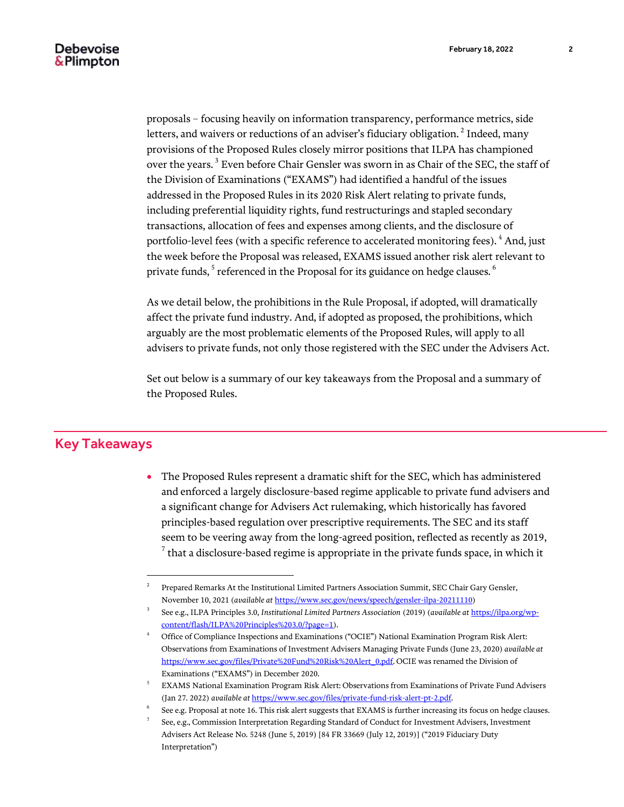proposals – focusing heavily on information transparency, performance metrics, side letters, and waivers or reductions of an adviser's fiduciary obligation.  $^2$  Indeed, many provisions of the Proposed Rules closely mirror positions that ILPA has championed over the years.  $^3$  Even before Chair Gensler was sworn in as Chair of the SEC, the staff of the Division of Examinations ("EXAMS") had identified a handful of the issues addressed in the Proposed Rules in its 2020 Risk Alert relating to private funds, including preferential liquidity rights, fund restructurings and stapled secondary transactions, allocation of fees and expenses among clients, and the disclosure of portfolio-level fees (with a specific reference to accelerated monitoring fees). <sup>4</sup> And, just the week before the Proposal was released, EXAMS issued another risk alert relevant to private funds,  $^5$  referenced in the Proposal for its guidance on hedge clauses.  $^6$ 

As we detail below, the prohibitions in the Rule Proposal, if adopted, will dramatically affect the private fund industry. And, if adopted as proposed, the prohibitions, which arguably are the most problematic elements of the Proposed Rules, will apply to all advisers to private funds, not only those registered with the SEC under the Advisers Act.

Set out below is a summary of our key takeaways from the Proposal and a summary of the Proposed Rules.

# <span id="page-1-0"></span>Key Takeaways

 $\overline{a}$ 

 The Proposed Rules represent a dramatic shift for the SEC, which has administered and enforced a largely disclosure-based regime applicable to private fund advisers and a significant change for Advisers Act rulemaking, which historically has favored principles-based regulation over prescriptive requirements. The SEC and its staff seem to be veering away from the long-agreed position, reflected as recently as 2019,  $^7$  that a disclosure-based regime is appropriate in the private funds space, in which it

<sup>2</sup> Prepared Remarks At the Institutional Limited Partners Association Summit, SEC Chair Gary Gensler, November 10, 2021 (*available at* [https://www.sec.gov/news/speech/gensler-ilpa-20211110\)](https://www.sec.gov/news/speech/gensler-ilpa-20211110)

<sup>3</sup> See e.g., ILPA Principles 3.0, *Institutional Limited Partners Association* (2019) (*available at* [https://ilpa.org/wp](https://ilpa.org/wp-content/flash/ILPA%20Principles%203.0/?page=1)[content/flash/ILPA%20Principles%203.0/?page=1\)](https://ilpa.org/wp-content/flash/ILPA%20Principles%203.0/?page=1).

<sup>4</sup> Office of Compliance Inspections and Examinations ("OCIE") National Examination Program Risk Alert: Observations from Examinations of Investment Advisers Managing Private Funds (June 23, 2020) *available at*  [https://www.sec.gov/files/Private%20Fund%20Risk%20Alert\\_0.pdf](https://www.sec.gov/files/Private%20Fund%20Risk%20Alert_0.pdf)*.* OCIE was renamed the Division of Examinations ("EXAMS") in December 2020.

<sup>5</sup> EXAMS National Examination Program Risk Alert: Observations from Examinations of Private Fund Advisers (Jan 27. 2022) *available at* [https://www.sec.gov/files/private-fund-risk-alert-pt-2.pdf.](https://www.sec.gov/files/private-fund-risk-alert-pt-2.pdf)

<sup>6</sup> See e.g. Proposal at note 16. This risk alert suggests that EXAMS is further increasing its focus on hedge clauses.

<sup>7</sup> See, e.g., Commission Interpretation Regarding Standard of Conduct for Investment Advisers, Investment Advisers Act Release No. 5248 (June 5, 2019) [84 FR 33669 (July 12, 2019)] ("2019 Fiduciary Duty Interpretation")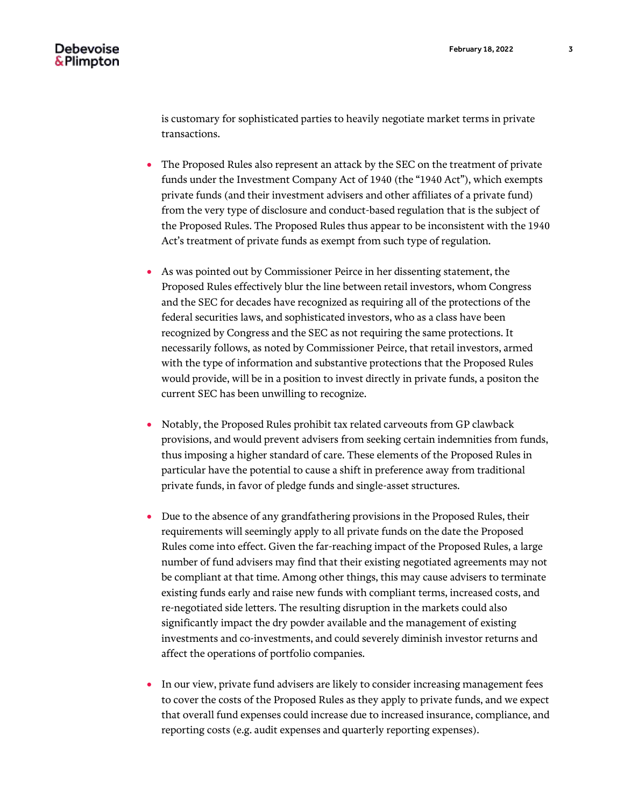is customary for sophisticated parties to heavily negotiate market terms in private transactions.

- The Proposed Rules also represent an attack by the SEC on the treatment of private funds under the Investment Company Act of 1940 (the "1940 Act"), which exempts private funds (and their investment advisers and other affiliates of a private fund) from the very type of disclosure and conduct-based regulation that is the subject of the Proposed Rules. The Proposed Rules thus appear to be inconsistent with the 1940 Act's treatment of private funds as exempt from such type of regulation.
- As was pointed out by Commissioner Peirce in her dissenting statement, the Proposed Rules effectively blur the line between retail investors, whom Congress and the SEC for decades have recognized as requiring all of the protections of the federal securities laws, and sophisticated investors, who as a class have been recognized by Congress and the SEC as not requiring the same protections. It necessarily follows, as noted by Commissioner Peirce, that retail investors, armed with the type of information and substantive protections that the Proposed Rules would provide, will be in a position to invest directly in private funds, a positon the current SEC has been unwilling to recognize.
- Notably, the Proposed Rules prohibit tax related carveouts from GP clawback provisions, and would prevent advisers from seeking certain indemnities from funds, thus imposing a higher standard of care. These elements of the Proposed Rules in particular have the potential to cause a shift in preference away from traditional private funds, in favor of pledge funds and single-asset structures.
- Due to the absence of any grandfathering provisions in the Proposed Rules, their requirements will seemingly apply to all private funds on the date the Proposed Rules come into effect. Given the far-reaching impact of the Proposed Rules, a large number of fund advisers may find that their existing negotiated agreements may not be compliant at that time. Among other things, this may cause advisers to terminate existing funds early and raise new funds with compliant terms, increased costs, and re-negotiated side letters. The resulting disruption in the markets could also significantly impact the dry powder available and the management of existing investments and co-investments, and could severely diminish investor returns and affect the operations of portfolio companies.
- In our view, private fund advisers are likely to consider increasing management fees to cover the costs of the Proposed Rules as they apply to private funds, and we expect that overall fund expenses could increase due to increased insurance, compliance, and reporting costs (e.g. audit expenses and quarterly reporting expenses).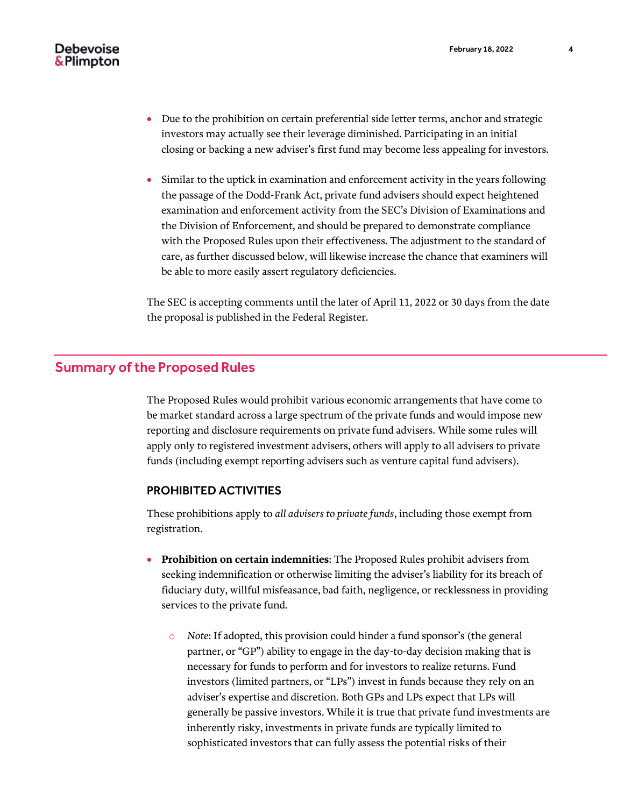- Due to the prohibition on certain preferential side letter terms, anchor and strategic investors may actually see their leverage diminished. Participating in an initial closing or backing a new adviser's first fund may become less appealing for investors.
- Similar to the uptick in examination and enforcement activity in the years following the passage of the Dodd-Frank Act, private fund advisers should expect heightened examination and enforcement activity from the SEC's Division of Examinations and the Division of Enforcement, and should be prepared to demonstrate compliance with the Proposed Rules upon their effectiveness. The adjustment to the standard of care, as further discussed below, will likewise increase the chance that examiners will be able to more easily assert regulatory deficiencies.

The SEC is accepting comments until the later of April 11, 2022 or 30 days from the date the proposal is published in the Federal Register.

## <span id="page-3-0"></span>Summary of the Proposed Rules

The Proposed Rules would prohibit various economic arrangements that have come to be market standard across a large spectrum of the private funds and would impose new reporting and disclosure requirements on private fund advisers. While some rules will apply only to registered investment advisers, others will apply to all advisers to private funds (including exempt reporting advisers such as venture capital fund advisers).

#### PROHIBITED ACTIVITIES

These prohibitions apply to *all advisers to private funds*, including those exempt from registration.

- **Prohibition on certain indemnities**: The Proposed Rules prohibit advisers from seeking indemnification or otherwise limiting the adviser's liability for its breach of fiduciary duty, willful misfeasance, bad faith, negligence, or recklessness in providing services to the private fund.
	- o *Note*: If adopted, this provision could hinder a fund sponsor's (the general partner, or "GP") ability to engage in the day-to-day decision making that is necessary for funds to perform and for investors to realize returns. Fund investors (limited partners, or "LPs") invest in funds because they rely on an adviser's expertise and discretion. Both GPs and LPs expect that LPs will generally be passive investors. While it is true that private fund investments are inherently risky, investments in private funds are typically limited to sophisticated investors that can fully assess the potential risks of their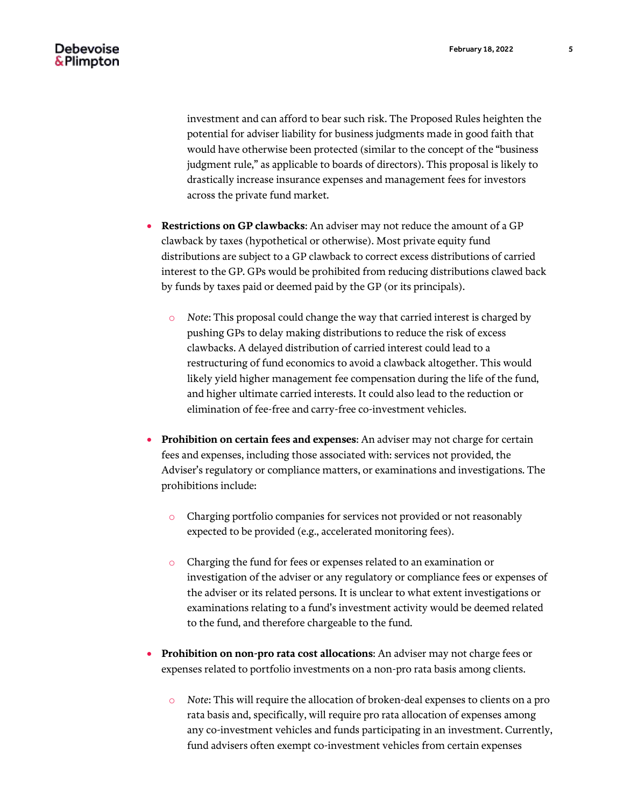investment and can afford to bear such risk. The Proposed Rules heighten the potential for adviser liability for business judgments made in good faith that would have otherwise been protected (similar to the concept of the "business judgment rule," as applicable to boards of directors). This proposal is likely to drastically increase insurance expenses and management fees for investors across the private fund market.

- **Restrictions on GP clawbacks**: An adviser may not reduce the amount of a GP clawback by taxes (hypothetical or otherwise). Most private equity fund distributions are subject to a GP clawback to correct excess distributions of carried interest to the GP. GPs would be prohibited from reducing distributions clawed back by funds by taxes paid or deemed paid by the GP (or its principals).
	- o *Note*: This proposal could change the way that carried interest is charged by pushing GPs to delay making distributions to reduce the risk of excess clawbacks. A delayed distribution of carried interest could lead to a restructuring of fund economics to avoid a clawback altogether. This would likely yield higher management fee compensation during the life of the fund, and higher ultimate carried interests. It could also lead to the reduction or elimination of fee-free and carry-free co-investment vehicles.
- **Prohibition on certain fees and expenses**: An adviser may not charge for certain fees and expenses, including those associated with: services not provided, the Adviser's regulatory or compliance matters, or examinations and investigations. The prohibitions include:
	- o Charging portfolio companies for services not provided or not reasonably expected to be provided (e.g., accelerated monitoring fees).
	- o Charging the fund for fees or expenses related to an examination or investigation of the adviser or any regulatory or compliance fees or expenses of the adviser or its related persons. It is unclear to what extent investigations or examinations relating to a fund's investment activity would be deemed related to the fund, and therefore chargeable to the fund.
- **Prohibition on non-pro rata cost allocations**: An adviser may not charge fees or expenses related to portfolio investments on a non-pro rata basis among clients.
	- o *Note*: This will require the allocation of broken-deal expenses to clients on a pro rata basis and, specifically, will require pro rata allocation of expenses among any co-investment vehicles and funds participating in an investment. Currently, fund advisers often exempt co-investment vehicles from certain expenses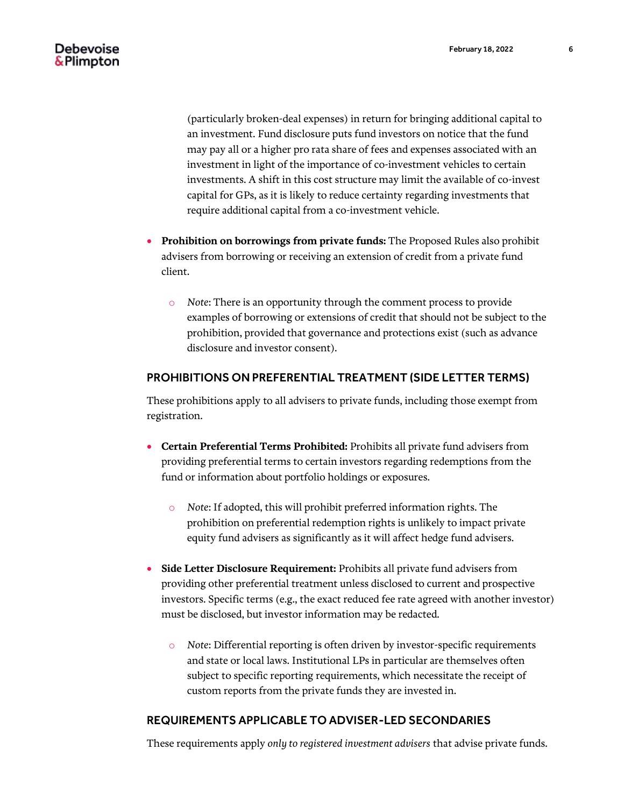(particularly broken-deal expenses) in return for bringing additional capital to an investment. Fund disclosure puts fund investors on notice that the fund may pay all or a higher pro rata share of fees and expenses associated with an investment in light of the importance of co-investment vehicles to certain investments. A shift in this cost structure may limit the available of co-invest capital for GPs, as it is likely to reduce certainty regarding investments that require additional capital from a co-investment vehicle.

- **Prohibition on borrowings from private funds:** The Proposed Rules also prohibit advisers from borrowing or receiving an extension of credit from a private fund client.
	- o *Note*: There is an opportunity through the comment process to provide examples of borrowing or extensions of credit that should not be subject to the prohibition, provided that governance and protections exist (such as advance disclosure and investor consent).

#### PROHIBITIONS ON PREFERENTIAL TREATMENT (SIDE LETTER TERMS)

These prohibitions apply to all advisers to private funds, including those exempt from registration.

- **Certain Preferential Terms Prohibited:** Prohibits all private fund advisers from providing preferential terms to certain investors regarding redemptions from the fund or information about portfolio holdings or exposures.
	- o *Note*: If adopted, this will prohibit preferred information rights. The prohibition on preferential redemption rights is unlikely to impact private equity fund advisers as significantly as it will affect hedge fund advisers.
- **Side Letter Disclosure Requirement:** Prohibits all private fund advisers from providing other preferential treatment unless disclosed to current and prospective investors. Specific terms (e.g., the exact reduced fee rate agreed with another investor) must be disclosed, but investor information may be redacted.
	- o *Note*: Differential reporting is often driven by investor-specific requirements and state or local laws. Institutional LPs in particular are themselves often subject to specific reporting requirements, which necessitate the receipt of custom reports from the private funds they are invested in.

#### REQUIREMENTS APPLICABLE TO ADVISER-LED SECONDARIES

These requirements apply *only to registered investment advisers* that advise private funds.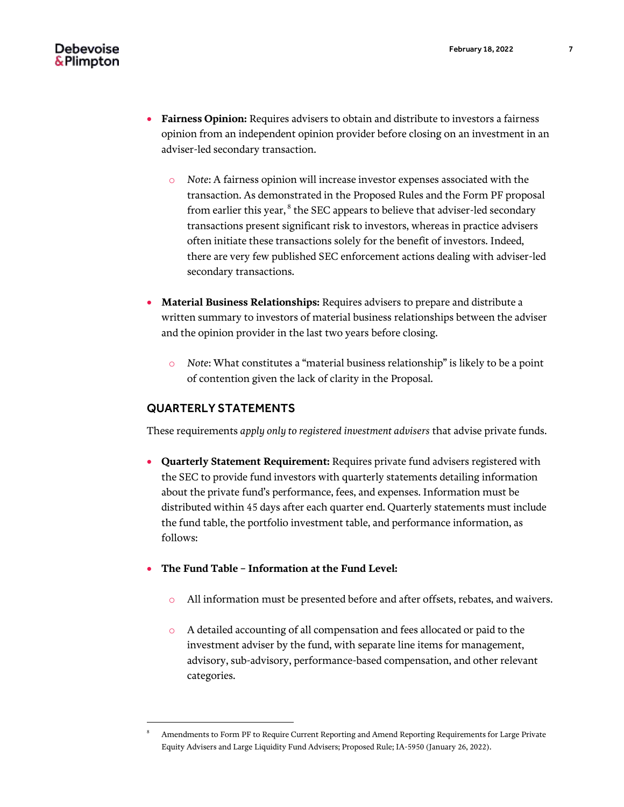- **Fairness Opinion:** Requires advisers to obtain and distribute to investors a fairness opinion from an independent opinion provider before closing on an investment in an adviser-led secondary transaction.
	- o *Note*: A fairness opinion will increase investor expenses associated with the transaction. As demonstrated in the Proposed Rules and the Form PF proposal from earlier this year,  $^8$  the SEC appears to believe that adviser-led secondary transactions present significant risk to investors, whereas in practice advisers often initiate these transactions solely for the benefit of investors. Indeed, there are very few published SEC enforcement actions dealing with adviser-led secondary transactions.
- **Material Business Relationships:** Requires advisers to prepare and distribute a written summary to investors of material business relationships between the adviser and the opinion provider in the last two years before closing.
	- o *Note*: What constitutes a "material business relationship" is likely to be a point of contention given the lack of clarity in the Proposal.

#### QUARTERLY STATEMENTS

 $\overline{a}$ 

These requirements *apply only to registered investment advisers* that advise private funds.

- **Quarterly Statement Requirement:** Requires private fund advisers registered with the SEC to provide fund investors with quarterly statements detailing information about the private fund's performance, fees, and expenses. Information must be distributed within 45 days after each quarter end. Quarterly statements must include the fund table, the portfolio investment table, and performance information, as follows:
- **The Fund Table – Information at the Fund Level:**
	- All information must be presented before and after offsets, rebates, and waivers.
	- o A detailed accounting of all compensation and fees allocated or paid to the investment adviser by the fund, with separate line items for management, advisory, sub-advisory, performance-based compensation, and other relevant categories.

<sup>8</sup> Amendments to Form PF to Require Current Reporting and Amend Reporting Requirements for Large Private Equity Advisers and Large Liquidity Fund Advisers; Proposed Rule; IA-5950 (January 26, 2022).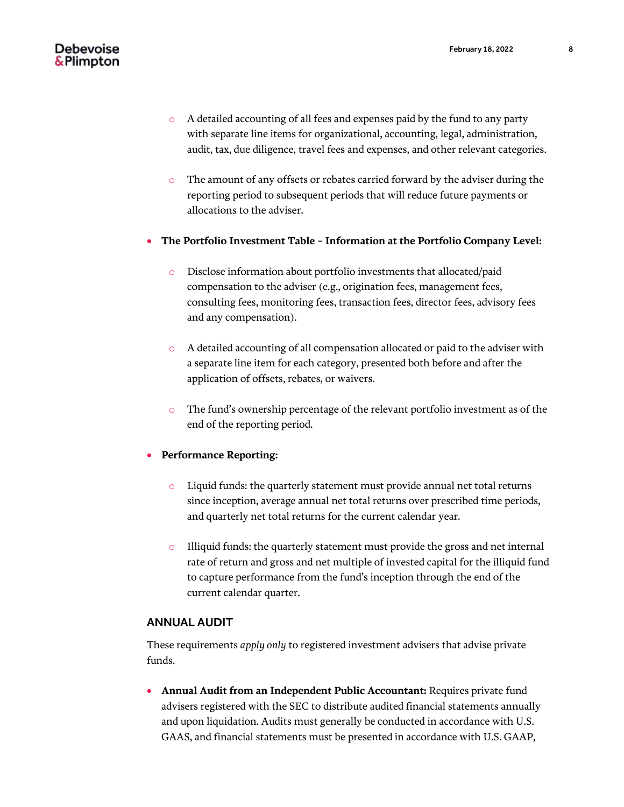- o A detailed accounting of all fees and expenses paid by the fund to any party with separate line items for organizational, accounting, legal, administration, audit, tax, due diligence, travel fees and expenses, and other relevant categories.
- o The amount of any offsets or rebates carried forward by the adviser during the reporting period to subsequent periods that will reduce future payments or allocations to the adviser.
- **The Portfolio Investment Table – Information at the Portfolio Company Level:**
	- o Disclose information about portfolio investments that allocated/paid compensation to the adviser (e.g., origination fees, management fees, consulting fees, monitoring fees, transaction fees, director fees, advisory fees and any compensation).
	- o A detailed accounting of all compensation allocated or paid to the adviser with a separate line item for each category, presented both before and after the application of offsets, rebates, or waivers.
	- o The fund's ownership percentage of the relevant portfolio investment as of the end of the reporting period.

#### **Performance Reporting:**

- o Liquid funds: the quarterly statement must provide annual net total returns since inception, average annual net total returns over prescribed time periods, and quarterly net total returns for the current calendar year.
- o Illiquid funds: the quarterly statement must provide the gross and net internal rate of return and gross and net multiple of invested capital for the illiquid fund to capture performance from the fund's inception through the end of the current calendar quarter.

#### ANNUAL AUDIT

These requirements *apply only* to registered investment advisers that advise private funds.

**• Annual Audit from an Independent Public Accountant: Requires private fund** advisers registered with the SEC to distribute audited financial statements annually and upon liquidation. Audits must generally be conducted in accordance with U.S. GAAS, and financial statements must be presented in accordance with U.S. GAAP,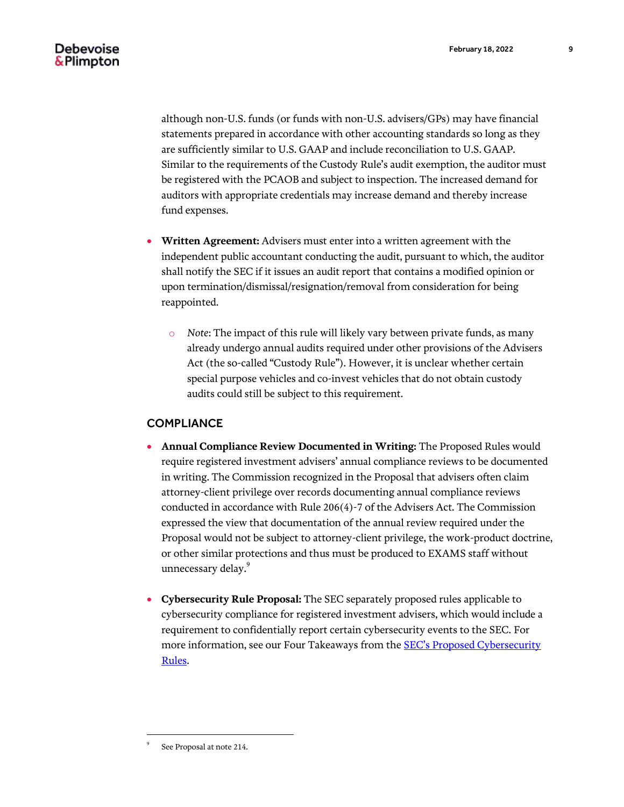although non-U.S. funds (or funds with non-U.S. advisers/GPs) may have financial statements prepared in accordance with other accounting standards so long as they are sufficiently similar to U.S. GAAP and include reconciliation to U.S. GAAP. Similar to the requirements of the Custody Rule's audit exemption, the auditor must be registered with the PCAOB and subject to inspection. The increased demand for auditors with appropriate credentials may increase demand and thereby increase fund expenses.

- **Written Agreement:** Advisers must enter into a written agreement with the independent public accountant conducting the audit, pursuant to which, the auditor shall notify the SEC if it issues an audit report that contains a modified opinion or upon termination/dismissal/resignation/removal from consideration for being reappointed.
	- o *Note*: The impact of this rule will likely vary between private funds, as many already undergo annual audits required under other provisions of the Advisers Act (the so-called "Custody Rule"). However, it is unclear whether certain special purpose vehicles and co-invest vehicles that do not obtain custody audits could still be subject to this requirement.

#### **COMPLIANCE**

- **Annual Compliance Review Documented in Writing:** The Proposed Rules would require registered investment advisers' annual compliance reviews to be documented in writing. The Commission recognized in the Proposal that advisers often claim attorney-client privilege over records documenting annual compliance reviews conducted in accordance with Rule 206(4)-7 of the Advisers Act. The Commission expressed the view that documentation of the annual review required under the Proposal would not be subject to attorney-client privilege, the work-product doctrine, or other similar protections and thus must be produced to EXAMS staff without unnecessary delay.<sup>9</sup>
- **Cybersecurity Rule Proposal:** The SEC separately proposed rules applicable to cybersecurity compliance for registered investment advisers, which would include a requirement to confidentially report certain cybersecurity events to the SEC. For more information, see our Four Takeaways from the [SEC's Proposed Cybersecurity](https://www.debevoise.com/insights/publications/2022/02/four-takeaways-from-the-secs-proposed)  [Rules.](https://www.debevoise.com/insights/publications/2022/02/four-takeaways-from-the-secs-proposed)

 $\overline{a}$ 

<sup>9</sup> See Proposal at note 214.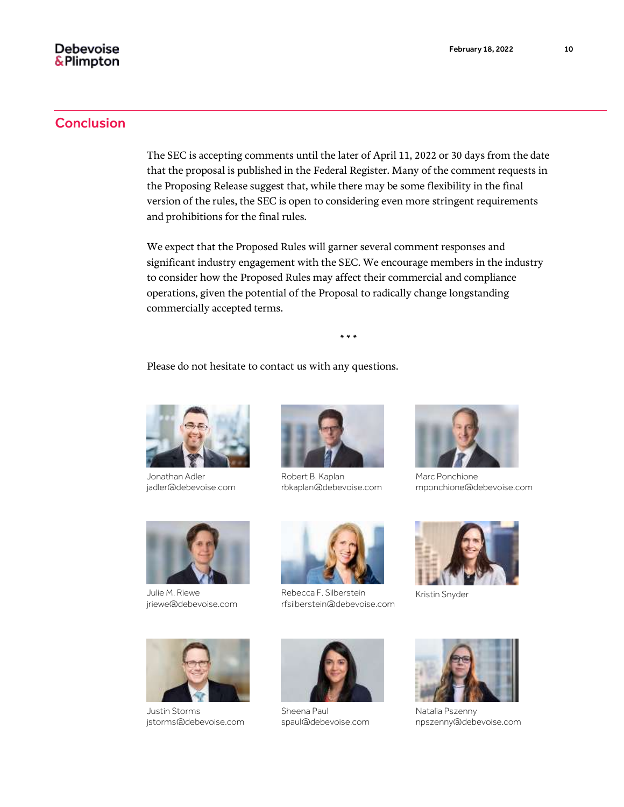## **Conclusion**

The SEC is accepting comments until the later of April 11, 2022 or 30 days from the date that the proposal is published in the Federal Register. Many of the comment requests in the Proposing Release suggest that, while there may be some flexibility in the final version of the rules, the SEC is open to considering even more stringent requirements and prohibitions for the final rules.

We expect that the Proposed Rules will garner several comment responses and significant industry engagement with the SEC. We encourage members in the industry to consider how the Proposed Rules may affect their commercial and compliance operations, given the potential of the Proposal to radically change longstanding commercially accepted terms.

\* \* \*

Please do not hesitate to contact us with any questions.



Jonathan Adler jadler@debevoise.com



Julie M. Riewe jriewe@debevoise.com



Robert B. Kaplan rbkaplan@debevoise.com



Rebecca F. Silberstein rfsilberstein@debevoise.com



Marc Ponchione mponchione@debevoise.com



[Kristin Snyder](https://www.debevoise.com/news/2022/02/debevoise-to-add-sec-veteran-kristin)



Justin Storms jstorms@debevoise.com



Sheena Paul spaul@debevoise.com



Natalia Pszenny npszenny@debevoise.com